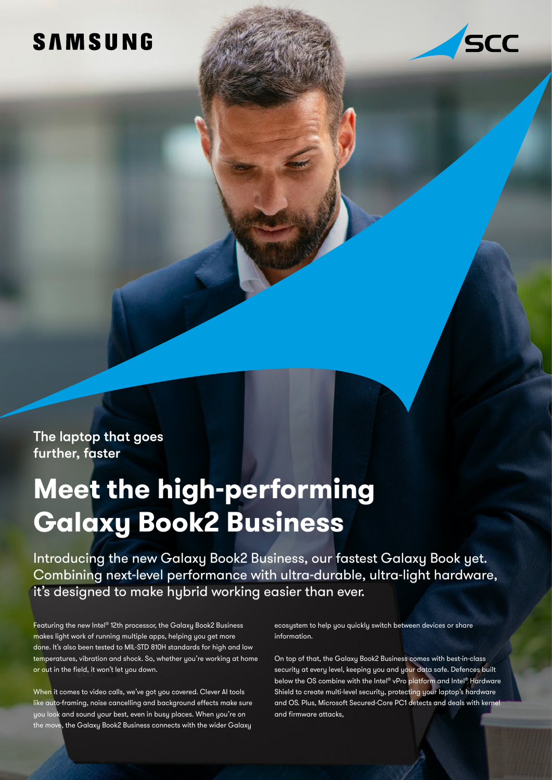## SAMSUNG



The laptop that goes further, faster

# **Meet the high-performing Galaxy Book2 Business**

Introducing the new Galaxy Book2 Business, our fastest Galaxy Book yet. Combining next-level performance with ultra-durable, ultra-light hardware, it's designed to make hybrid working easier than ever.

Featuring the new Intel® 12th processor, the Galaxy Book2 Business makes light work of running multiple apps, helping you get more done. It's also been tested to MIL-STD 810H standards for high and low temperatures, vibration and shock. So, whether you're working at home or out in the field, it won't let you down.

When it comes to video calls, we've got you covered. Clever AI tools like auto-framing, noise cancelling and background effects make sure you look and sound your best, even in busy places. When you're on the move, the Galaxy Book2 Business connects with the wider Galaxy

ecosystem to help you quickly switch between devices or share information.

On top of that, the Galaxy Book2 Business comes with best-in-class security at every level, keeping you and your data safe. Defences built [below the OS combine with the Intel® vPro platform and Intel® Hardware](https://login.ibm.com/idaas/mtfim/sps/idaas/login?client_id=ODllMDk4YzItMjgxOC00&Target=https%3A%2F%2Flogin.ibm.com%2Foidc%2Fendpoint%2Fdefault%2Fauthorize%3FqsId%3Db568a9ee-1ddc-4c6a-acef-4111212ccedc%26client_id%3DODllMDk4YzItMjgxOC00#tab-4&devicetype=MACOS)  Shield to create multi-level security, protecting your laptop's hardware and OS. Plus, Microsoft Secured-Core PC1 detects and deals with kernel and firmware attacks,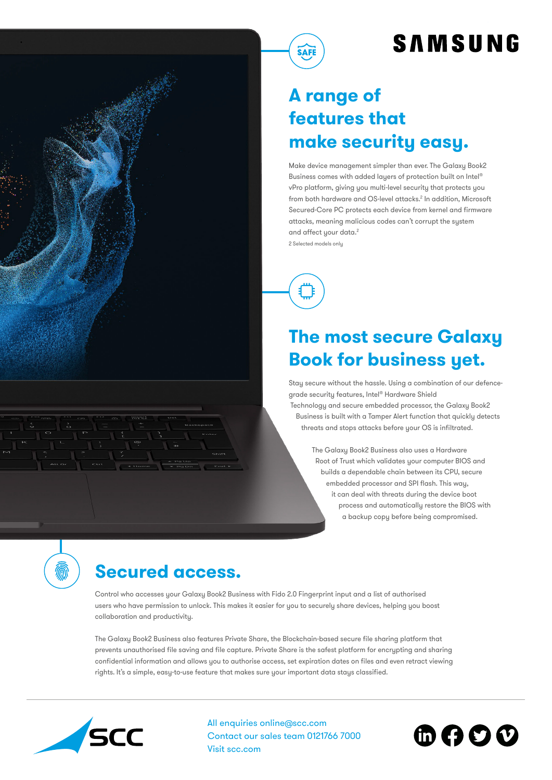## **SAMSUNG**

## **A range of features that make security easy.**

Make device management simpler than ever. The Galaxy Book2 Business comes with added layers of protection built on Intel® vPro platform, giving you multi-level security that protects you from both hardware and OS-level attacks.2 In addition, Microsoft [Secured-Core PC protects each device from kernel and firmware](https://login.ibm.com/idaas/mtfim/sps/idaas/login?client_id=ODllMDk4YzItMjgxOC00&Target=https%3A%2F%2Flogin.ibm.com%2Foidc%2Fendpoint%2Fdefault%2Fauthorize%3FqsId%3Db568a9ee-1ddc-4c6a-acef-4111212ccedc%26client_id%3DODllMDk4YzItMjgxOC00#tab-4&devicetype=MACOS) attacks, meaning malicious codes can't corrupt the system and affect your data.<sup>2</sup>

2 Selected models only

**SAFE** 

### **The most secure Galaxy Book for business yet.**

[Stay secure without the hassle. Using a combination of our defence](https://login.ibm.com/idaas/mtfim/sps/idaas/login?client_id=ODllMDk4YzItMjgxOC00&Target=https%3A%2F%2Flogin.ibm.com%2Foidc%2Fendpoint%2Fdefault%2Fauthorize%3FqsId%3Db568a9ee-1ddc-4c6a-acef-4111212ccedc%26client_id%3DODllMDk4YzItMjgxOC00#tab-4&devicetype=MACOS)grade security features, Intel® Hardware Shield Technology and secure embedded processor, the Galaxy Book2 Business is built with a Tamper Alert function that quickly detects threats and stops attacks before your OS is infiltrated.

> The Galaxy Book2 Business also uses a Hardware Root of Trust which validates your computer BIOS and builds a dependable chain between its CPU, secure embedded processor and SPI flash. This way, it can deal with threats during the device boot process and automatically restore the BIOS with a backup copy before being compromised.

### **Secured access.**

Control who accesses your Galaxy Book2 Business with Fido 2.0 Fingerprint input and a list of authorised users who have permission to unlock. This makes it easier for you to securely share devices, helping you boost collaboration and productivity.

The Galaxy Book2 Business also features Private Share, the Blockchain-based secure file sharing platform that prevents unauthorised file saving and file capture. Private Share is the safest platform for encrypting and sharing [confidential information and allows you to authorise access, set expiration dates on files and even retract viewing](https://login.ibm.com/idaas/mtfim/sps/idaas/login?client_id=ODllMDk4YzItMjgxOC00&Target=https%3A%2F%2Flogin.ibm.com%2Foidc%2Fendpoint%2Fdefault%2Fauthorize%3FqsId%3Db568a9ee-1ddc-4c6a-acef-4111212ccedc%26client_id%3DODllMDk4YzItMjgxOC00#tab-4&devicetype=MACOS) rights. It's a simple, easy-to-use feature that makes sure your important data stays classified.



All enquiries online@scc.com Contact our sales team 0121766 7000 Visit scc.com